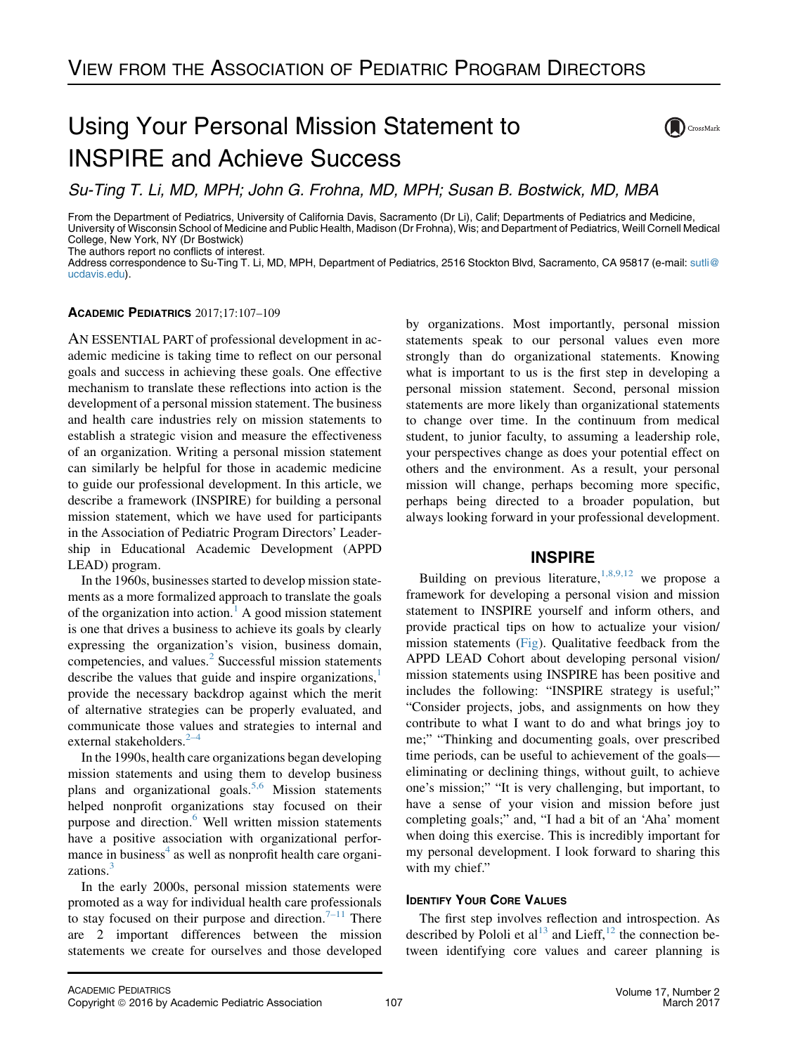# Using Your Personal Mission Statement to INSPIRE and Achieve Success



Su-Ting T. Li, MD, MPH; John G. Frohna, MD, MPH; Susan B. Bostwick, MD, MBA

From the Department of Pediatrics, University of California Davis, Sacramento (Dr Li), Calif; Departments of Pediatrics and Medicine, University of Wisconsin School of Medicine and Public Health, Madison (Dr Frohna), Wis; and Department of Pediatrics, Weill Cornell Medical College, New York, NY (Dr Bostwick)

The authors report no conflicts of interest.

Address correspondence to Su-Ting T. Li, MD, MPH, Department of Pediatrics, 2516 Stockton Blvd, Sacramento, CA 95817 (e-mail: [sutli@](mailto:sutli@ucdavis.edu) [ucdavis.edu\)](mailto:sutli@ucdavis.edu).

## ACADEMIC PEDIATRICS 2017;17:107–109

AN ESSENTIAL PART of professional development in academic medicine is taking time to reflect on our personal goals and success in achieving these goals. One effective mechanism to translate these reflections into action is the development of a personal mission statement. The business and health care industries rely on mission statements to establish a strategic vision and measure the effectiveness of an organization. Writing a personal mission statement can similarly be helpful for those in academic medicine to guide our professional development. In this article, we describe a framework (INSPIRE) for building a personal mission statement, which we have used for participants in the Association of Pediatric Program Directors' Leadership in Educational Academic Development (APPD LEAD) program.

In the 1960s, businesses started to develop mission statements as a more formalized approach to translate the goals of the organization into action. $<sup>1</sup>$  $<sup>1</sup>$  $<sup>1</sup>$  A good mission statement</sup> is one that drives a business to achieve its goals by clearly expressing the organization's vision, business domain, competencies, and values.<sup>[2](#page-2-0)</sup> Successful mission statements describe the values that guide and inspire organizations, $\frac{1}{2}$  $\frac{1}{2}$  $\frac{1}{2}$ provide the necessary backdrop against which the merit of alternative strategies can be properly evaluated, and communicate those values and strategies to internal and external stakeholders. $2-4$ 

In the 1990s, health care organizations began developing mission statements and using them to develop business plans and organizational goals.<sup>[5,6](#page-2-0)</sup> Mission statements helped nonprofit organizations stay focused on their purpose and direction.<sup>[6](#page-2-0)</sup> Well written mission statements have a positive association with organizational perfor-mance in business<sup>[4](#page-2-0)</sup> as well as nonprofit health care organi-zations.<sup>[3](#page-2-0)</sup>

In the early 2000s, personal mission statements were promoted as a way for individual health care professionals to stay focused on their purpose and direction.<sup>[7–11](#page-2-0)</sup> There are 2 important differences between the mission statements we create for ourselves and those developed by organizations. Most importantly, personal mission statements speak to our personal values even more strongly than do organizational statements. Knowing what is important to us is the first step in developing a personal mission statement. Second, personal mission statements are more likely than organizational statements to change over time. In the continuum from medical student, to junior faculty, to assuming a leadership role, your perspectives change as does your potential effect on others and the environment. As a result, your personal mission will change, perhaps becoming more specific, perhaps being directed to a broader population, but always looking forward in your professional development.

# **INSPIRE**

Building on previous literature,  $(1,8,9,12)$  $(1,8,9,12)$  $(1,8,9,12)$  we propose a framework for developing a personal vision and mission statement to INSPIRE yourself and inform others, and provide practical tips on how to actualize your vision/ mission statements ([Fig\)](#page-1-0). Qualitative feedback from the APPD LEAD Cohort about developing personal vision/ mission statements using INSPIRE has been positive and includes the following: "INSPIRE strategy is useful;" "Consider projects, jobs, and assignments on how they contribute to what I want to do and what brings joy to me;" "Thinking and documenting goals, over prescribed time periods, can be useful to achievement of the goals eliminating or declining things, without guilt, to achieve one's mission;" "It is very challenging, but important, to have a sense of your vision and mission before just completing goals;" and, "I had a bit of an 'Aha' moment when doing this exercise. This is incredibly important for my personal development. I look forward to sharing this with my chief."

# **IDENTIFY YOUR CORE VALUES**

The first step involves reflection and introspection. As described by Pololi et al<sup>[13](#page-2-0)</sup> and Lieff,<sup>[12](#page-2-0)</sup> the connection between identifying core values and career planning is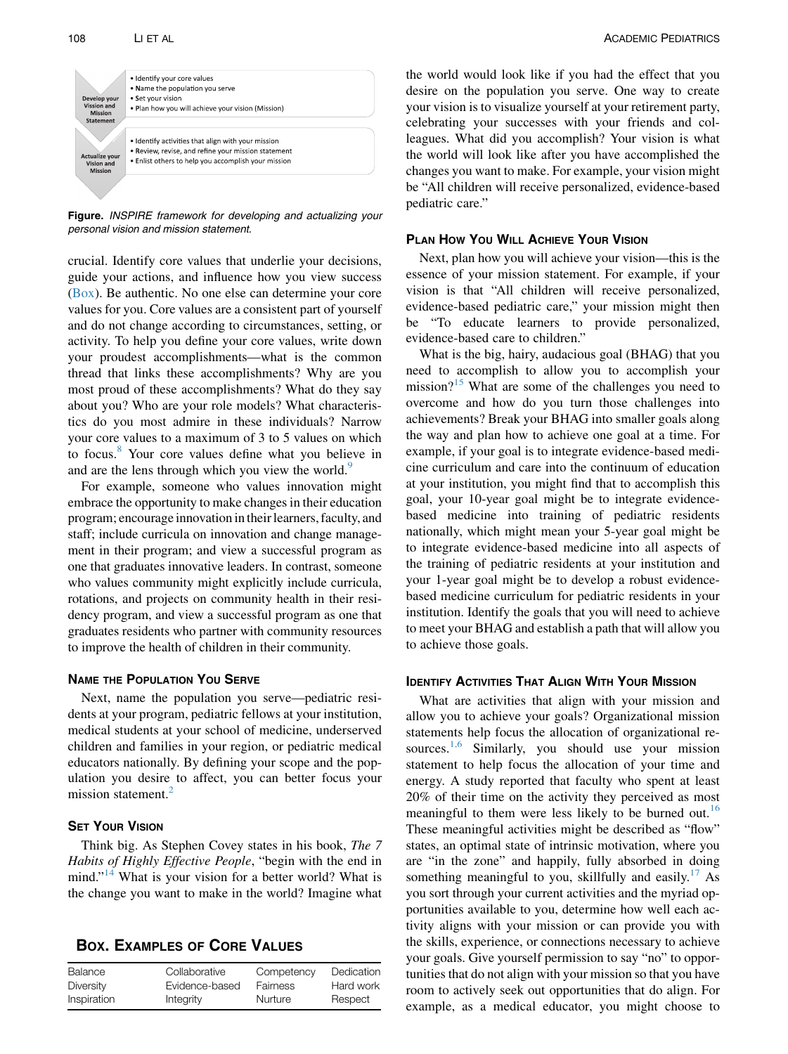<span id="page-1-0"></span>

Figure. INSPIRE framework for developing and actualizing your personal vision and mission statement.

crucial. Identify core values that underlie your decisions, guide your actions, and influence how you view success (Box). Be authentic. No one else can determine your core values for you. Core values are a consistent part of yourself and do not change according to circumstances, setting, or activity. To help you define your core values, write down your proudest accomplishments—what is the common thread that links these accomplishments? Why are you most proud of these accomplishments? What do they say about you? Who are your role models? What characteristics do you most admire in these individuals? Narrow your core values to a maximum of 3 to 5 values on which to focus.[8](#page-2-0) Your core values define what you believe in and are the lens through which you view the world.<sup>[9](#page-2-0)</sup>

For example, someone who values innovation might embrace the opportunity to make changes in their education program; encourage innovation in their learners, faculty, and staff; include curricula on innovation and change management in their program; and view a successful program as one that graduates innovative leaders. In contrast, someone who values community might explicitly include curricula, rotations, and projects on community health in their residency program, and view a successful program as one that graduates residents who partner with community resources to improve the health of children in their community.

### **NAME THE POPULATION YOU SERVE**

Next, name the population you serve—pediatric residents at your program, pediatric fellows at your institution, medical students at your school of medicine, underserved children and families in your region, or pediatric medical educators nationally. By defining your scope and the population you desire to affect, you can better focus your mission statement.<sup>2</sup>

## **SET YOUR VISION**

Think big. As Stephen Covey states in his book, The 7 Habits of Highly Effective People, "begin with the end in mind."<sup>[14](#page-2-0)</sup> What is your vision for a better world? What is the change you want to make in the world? Imagine what

**BOX. EXAMPLES OF CORE VALUES** 

| Balance     | Collaborative  | Competency     | Dedication |
|-------------|----------------|----------------|------------|
| Diversity   | Evidence-based | Fairness       | Hard work  |
| Inspiration | Integrity      | <b>Nurture</b> | Respect    |

the world would look like if you had the effect that you desire on the population you serve. One way to create your vision is to visualize yourself at your retirement party, celebrating your successes with your friends and colleagues. What did you accomplish? Your vision is what the world will look like after you have accomplished the changes you want to make. For example, your vision might be "All children will receive personalized, evidence-based pediatric care."

Next, plan how you will achieve your vision—this is the essence of your mission statement. For example, if your vision is that "All children will receive personalized, evidence-based pediatric care," your mission might then be "To educate learners to provide personalized, evidence-based care to children."

What is the big, hairy, audacious goal (BHAG) that you need to accomplish to allow you to accomplish your mission? $15$  What are some of the challenges you need to overcome and how do you turn those challenges into achievements? Break your BHAG into smaller goals along the way and plan how to achieve one goal at a time. For example, if your goal is to integrate evidence-based medicine curriculum and care into the continuum of education at your institution, you might find that to accomplish this goal, your 10-year goal might be to integrate evidencebased medicine into training of pediatric residents nationally, which might mean your 5-year goal might be to integrate evidence-based medicine into all aspects of the training of pediatric residents at your institution and your 1-year goal might be to develop a robust evidencebased medicine curriculum for pediatric residents in your institution. Identify the goals that you will need to achieve to meet your BHAG and establish a path that will allow you to achieve those goals.

What are activities that align with your mission and allow you to achieve your goals? Organizational mission statements help focus the allocation of organizational resources. $1,6$  Similarly, you should use your mission statement to help focus the allocation of your time and energy. A study reported that faculty who spent at least 20% of their time on the activity they perceived as most meaningful to them were less likely to be burned out.<sup>[16](#page-2-0)</sup> These meaningful activities might be described as "flow" states, an optimal state of intrinsic motivation, where you are "in the zone" and happily, fully absorbed in doing something meaningful to you, skillfully and easily.<sup>[17](#page-2-0)</sup> As you sort through your current activities and the myriad opportunities available to you, determine how well each activity aligns with your mission or can provide you with the skills, experience, or connections necessary to achieve your goals. Give yourself permission to say "no" to opportunities that do not align with your mission so that you have room to actively seek out opportunities that do align. For example, as a medical educator, you might choose to